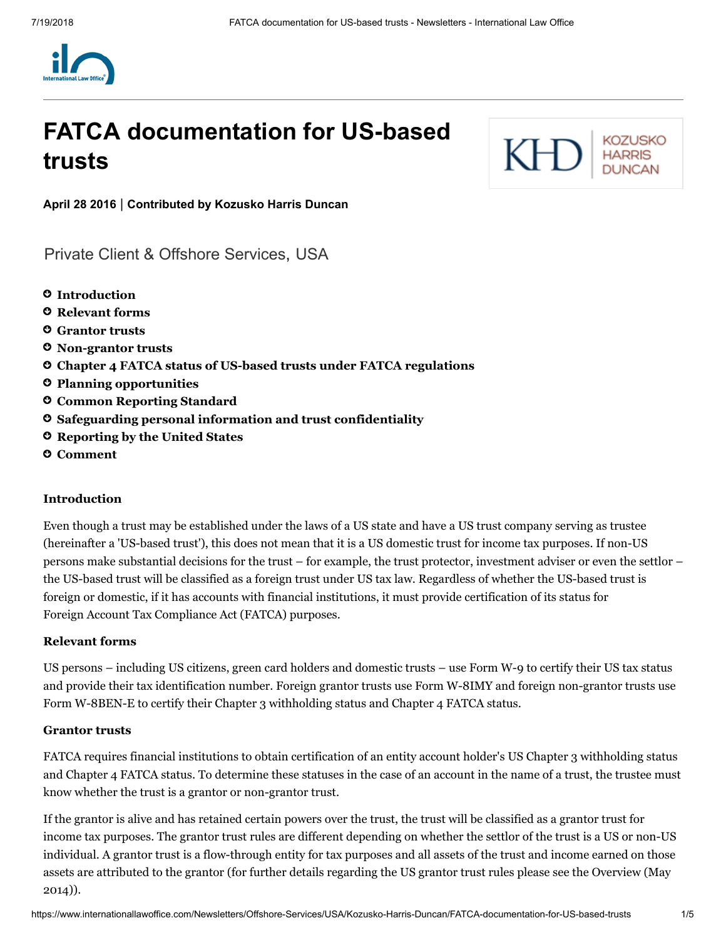

# **FATCA documentation for US-based trusts**



**April 28 2016** | **Contributed by [Kozusko](https://www.internationallawoffice.com/Directory/Kozusko-Harris-Duncan/New-York-NY) Harris Duncan**

[Private Client & Offshore Services,](https://www.internationallawoffice.com/Search?at=Updates&cfn=Kozusko+Harris+Duncan&ws=Private+Client+%26+Offshore+Services) [USA](https://www.internationallawoffice.com/Search?at=Updates&cfn=Kozusko+Harris+Duncan&js=USA)

- **[Introduction](#page-0-0)**
- **[Relevant](#page-0-1) forms**
- **[Grantor](#page-0-2) trusts**
- **[Non-grantor](#page-1-0) trusts**
- **Chapter 4 FATCA status of US-based [trusts under](#page-1-1) FATCA regulations**
- **Planning [opportunities](#page-2-0)**
- **Common [Reporting](#page-2-1) Standard**
- **Safeguarding personal information and trust [confidentiality](#page-3-0)**
- **[Reporting](#page-3-1) by the United States**
- **[Comment](#page-3-2)**

#### <span id="page-0-0"></span>**Introduction**

Even though a trust may be established under the laws of a US state and have a US trust company serving as trustee (hereinafter a 'US-based trust'), this does not mean that it is a US domestic trust for income tax purposes. If non-US persons make substantial decisions for the trust – for example, the trust protector, investment adviser or even the settlor – the US-based trust will be classified as a foreign trust under US tax law. Regardless of whether the US-based trust is foreign or domestic, if it has accounts with financial institutions, it must provide certification of its status for Foreign Account Tax Compliance Act (FATCA) purposes.

#### <span id="page-0-1"></span>**Relevant forms**

US persons – including US citizens, green card holders and domestic trusts – use Form W-9 to certify their US tax status and provide their tax identification number. Foreign grantor trusts use Form W-8IMY and foreign non-grantor trusts use Form W-8BEN-E to certify their Chapter 3 withholding status and Chapter 4 FATCA status.

#### <span id="page-0-2"></span>**Grantor trusts**

FATCA requires financial institutions to obtain certification of an entity account holder's US Chapter 3 withholding status and Chapter 4 FATCA status. To determine these statuses in the case of an account in the name of a trust, the trustee must know whether the trust is a grantor or non-grantor trust.

If the grantor is alive and has retained certain powers over the trust, the trust will be classified as a grantor trust for income tax purposes. The grantor trust rules are different depending on whether the settlor of the trust is a US or non-US individual. A grantor trust is a flow-through entity for tax purposes and all assets of the trust and income earned on those assets are [attributed](http://www.internationallawoffice.com/Newsletters/Offshore-Services/USA/Kozusko-Harris-Duncan/Overview-May-2014) to the grantor (for further details regarding the US grantor trust rules please see the Overview (May 2014)).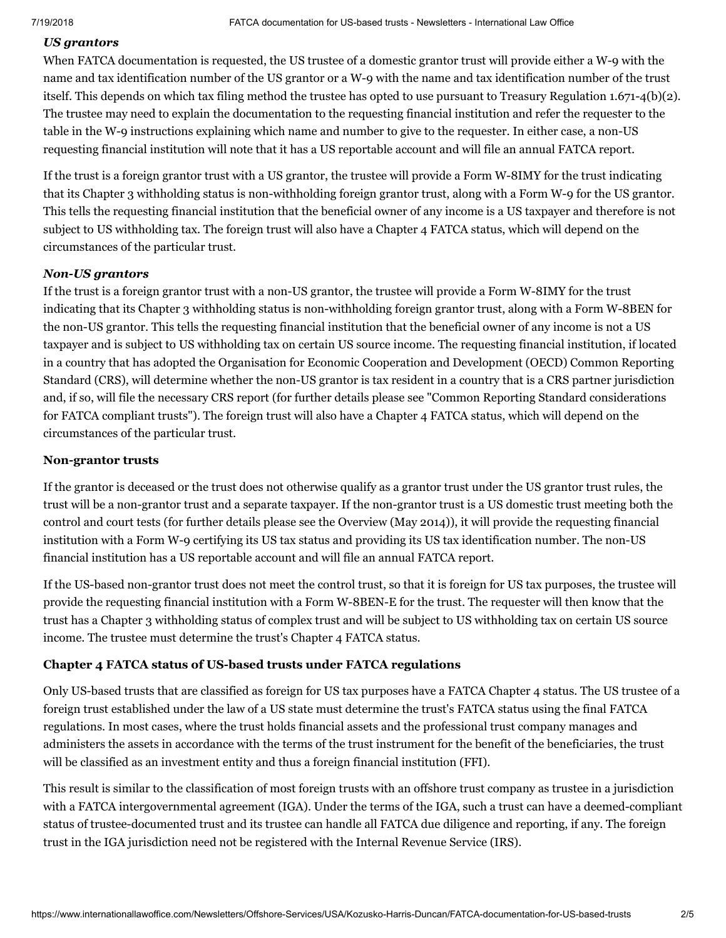# *US grantors*

When FATCA documentation is requested, the US trustee of a domestic grantor trust will provide either a W-9 with the name and tax identification number of the US grantor or a W-9 with the name and tax identification number of the trust itself. This depends on which tax filing method the trustee has opted to use pursuant to Treasury Regulation 1.671-4(b)(2). The trustee may need to explain the documentation to the requesting financial institution and refer the requester to the table in the W-9 instructions explaining which name and number to give to the requester. In either case, a non-US requesting financial institution will note that it has a US reportable account and will file an annual FATCA report.

If the trust is a foreign grantor trust with a US grantor, the trustee will provide a Form W-8IMY for the trust indicating that its Chapter 3 withholding status is non-withholding foreign grantor trust, along with a Form W-9 for the US grantor. This tells the requesting financial institution that the beneficial owner of any income is a US taxpayer and therefore is not subject to US withholding tax. The foreign trust will also have a Chapter 4 FATCA status, which will depend on the circumstances of the particular trust.

# *Non-US grantors*

If the trust is a foreign grantor trust with a non-US grantor, the trustee will provide a Form W-8IMY for the trust indicating that its Chapter 3 withholding status is non-withholding foreign grantor trust, along with a Form W-8BEN for the non-US grantor. This tells the requesting financial institution that the beneficial owner of any income is not a US taxpayer and is subject to US withholding tax on certain US source income. The requesting financial institution, if located in a country that has adopted the Organisation for Economic Cooperation and Development (OECD) Common Reporting Standard (CRS), will determine whether the non-US grantor is tax resident in a country that is a CRS partner jurisdiction and, if so, will file the necessary CRS report (for further details please see "Common Reporting Standard [considerations](http://www.internationallawoffice.com/Newsletters/Offshore-Services/USA/Kozusko-Harris-Duncan/Common-Reporting-Standard-considerations-for-FATCA-compliant-trusts) for FATCA compliant trusts"). The foreign trust will also have a Chapter 4 FATCA status, which will depend on the circumstances of the particular trust.

### <span id="page-1-0"></span>**Non-grantor trusts**

If the grantor is deceased or the trust does not otherwise qualify as a grantor trust under the US grantor trust rules, the trust will be a non-grantor trust and a separate taxpayer. If the non-grantor trust is a US domestic trust meeting both the control and court tests (for further details please see the [Overview](http://www.internationallawoffice.com/Newsletters/Offshore-Services/USA/Kozusko-Harris-Duncan/Overview-May-2014) (May 2014)), it will provide the requesting financial institution with a Form W-9 certifying its US tax status and providing its US tax identification number. The non-US financial institution has a US reportable account and will file an annual FATCA report.

If the US-based non-grantor trust does not meet the control trust, so that it is foreign for US tax purposes, the trustee will provide the requesting financial institution with a Form W-8BEN-E for the trust. The requester will then know that the trust has a Chapter 3 withholding status of complex trust and will be subject to US withholding tax on certain US source income. The trustee must determine the trust's Chapter 4 FATCA status.

# <span id="page-1-1"></span>**Chapter 4 FATCA status of US-based trusts under FATCA regulations**

Only US-based trusts that are classified as foreign for US tax purposes have a FATCA Chapter 4 status. The US trustee of a foreign trust established under the law of a US state must determine the trust's FATCA status using the final FATCA regulations. In most cases, where the trust holds financial assets and the professional trust company manages and administers the assets in accordance with the terms of the trust instrument for the benefit of the beneficiaries, the trust will be classified as an investment entity and thus a foreign financial institution (FFI).

This result is similar to the classification of most foreign trusts with an offshore trust company as trustee in a jurisdiction with a FATCA intergovernmental agreement (IGA). Under the terms of the IGA, such a trust can have a deemed-compliant status of trustee-documented trust and its trustee can handle all FATCA due diligence and reporting, if any. The foreign trust in the IGA jurisdiction need not be registered with the Internal Revenue Service (IRS).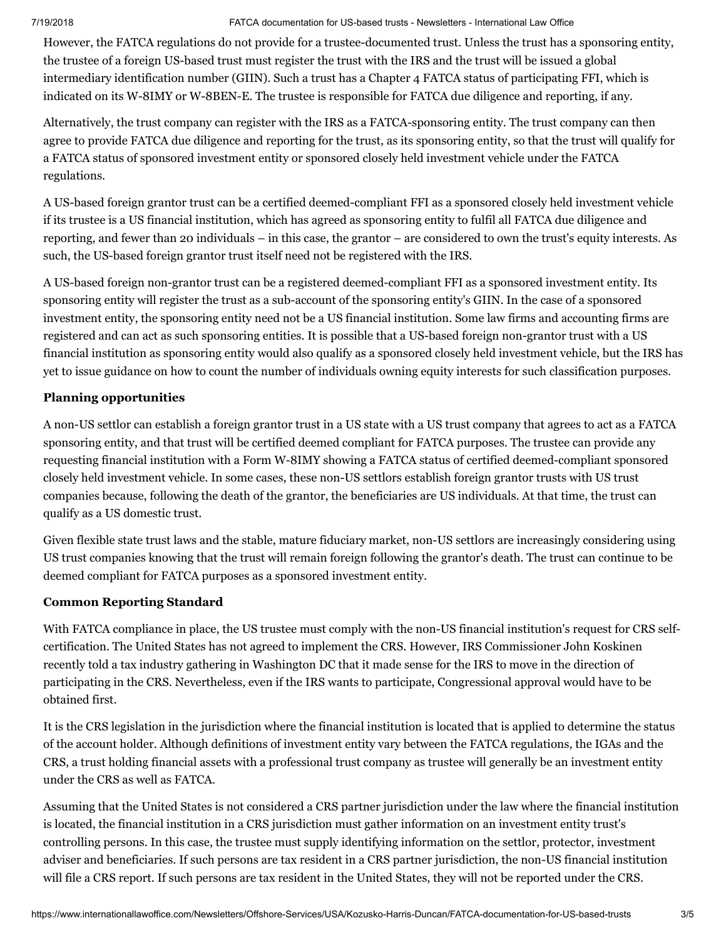#### 7/19/2018 FATCA documentation for US-based trusts - Newsletters - International Law Office

However, the FATCA regulations do not provide for a trustee-documented trust. Unless the trust has a sponsoring entity, the trustee of a foreign US-based trust must register the trust with the IRS and the trust will be issued a global intermediary identification number (GIIN). Such a trust has a Chapter 4 FATCA status of participating FFI, which is indicated on its W-8IMY or W-8BEN-E. The trustee is responsible for FATCA due diligence and reporting, if any.

Alternatively, the trust company can register with the IRS as a FATCA-sponsoring entity. The trust company can then agree to provide FATCA due diligence and reporting for the trust, as its sponsoring entity, so that the trust will qualify for a FATCA status of sponsored investment entity or sponsored closely held investment vehicle under the FATCA regulations.

A US-based foreign grantor trust can be a certified deemed-compliant FFI as a sponsored closely held investment vehicle if its trustee is a US financial institution, which has agreed as sponsoring entity to fulfil all FATCA due diligence and reporting, and fewer than 20 individuals – in this case, the grantor – are considered to own the trust's equity interests. As such, the US-based foreign grantor trust itself need not be registered with the IRS.

A US-based foreign non-grantor trust can be a registered deemed-compliant FFI as a sponsored investment entity. Its sponsoring entity will register the trust as a sub-account of the sponsoring entity's GIIN. In the case of a sponsored investment entity, the sponsoring entity need not be a US financial institution. Some law firms and accounting firms are registered and can act as such sponsoring entities. It is possible that a US-based foreign non-grantor trust with a US financial institution as sponsoring entity would also qualify as a sponsored closely held investment vehicle, but the IRS has yet to issue guidance on how to count the number of individuals owning equity interests for such classification purposes.

# <span id="page-2-0"></span>**Planning opportunities**

A non-US settlor can establish a foreign grantor trust in a US state with a US trust company that agrees to act as a FATCA sponsoring entity, and that trust will be certified deemed compliant for FATCA purposes. The trustee can provide any requesting financial institution with a Form W-8IMY showing a FATCA status of certified deemed-compliant sponsored closely held investment vehicle. In some cases, these non-US settlors establish foreign grantor trusts with US trust companies because, following the death of the grantor, the beneficiaries are US individuals. At that time, the trust can qualify as a US domestic trust.

Given flexible state trust laws and the stable, mature fiduciary market, non-US settlors are increasingly considering using US trust companies knowing that the trust will remain foreign following the grantor's death. The trust can continue to be deemed compliant for FATCA purposes as a sponsored investment entity.

# <span id="page-2-1"></span>**Common Reporting Standard**

With FATCA compliance in place, the US trustee must comply with the non-US financial institution's request for CRS selfcertification. The United States has not agreed to implement the CRS. However, IRS Commissioner John Koskinen recently told a tax industry gathering in Washington DC that it made sense for the IRS to move in the direction of participating in the CRS. Nevertheless, even if the IRS wants to participate, Congressional approval would have to be obtained first.

It is the CRS legislation in the jurisdiction where the financial institution is located that is applied to determine the status of the account holder. Although definitions of investment entity vary between the FATCA regulations, the IGAs and the CRS, a trust holding financial assets with a professional trust company as trustee will generally be an investment entity under the CRS as well as FATCA.

Assuming that the United States is not considered a CRS partner jurisdiction under the law where the financial institution is located, the financial institution in a CRS jurisdiction must gather information on an investment entity trust's controlling persons. In this case, the trustee must supply identifying information on the settlor, protector, investment adviser and beneficiaries. If such persons are tax resident in a CRS partner jurisdiction, the non-US financial institution will file a CRS report. If such persons are tax resident in the United States, they will not be reported under the CRS.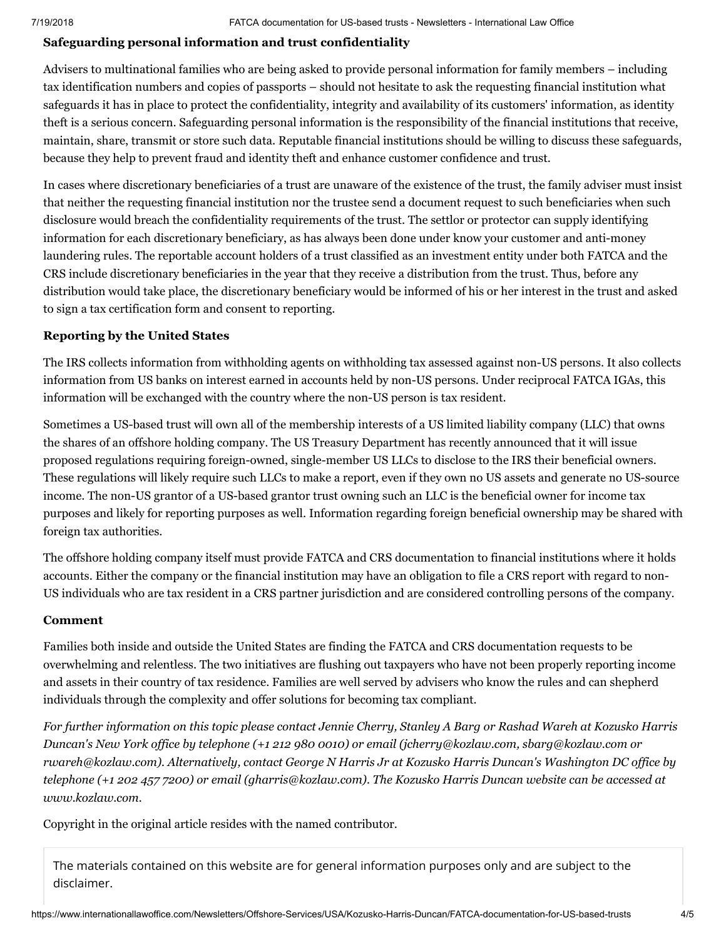# <span id="page-3-0"></span>**Safeguarding personal information and trust confidentiality**

Advisers to multinational families who are being asked to provide personal information for family members – including tax identification numbers and copies of passports – should not hesitate to ask the requesting financial institution what safeguards it has in place to protect the confidentiality, integrity and availability of its customers' information, as identity theft is a serious concern. Safeguarding personal information is the responsibility of the financial institutions that receive, maintain, share, transmit or store such data. Reputable financial institutions should be willing to discuss these safeguards, because they help to prevent fraud and identity theft and enhance customer confidence and trust.

In cases where discretionary beneficiaries of a trust are unaware of the existence of the trust, the family adviser must insist that neither the requesting financial institution nor the trustee send a document request to such beneficiaries when such disclosure would breach the confidentiality requirements of the trust. The settlor or protector can supply identifying information for each discretionary beneficiary, as has always been done under know your customer and anti-money laundering rules. The reportable account holders of a trust classified as an investment entity under both FATCA and the CRS include discretionary beneficiaries in the year that they receive a distribution from the trust. Thus, before any distribution would take place, the discretionary beneficiary would be informed of his or her interest in the trust and asked to sign a tax certification form and consent to reporting.

#### <span id="page-3-1"></span>**Reporting by the United States**

The IRS collects information from withholding agents on withholding tax assessed against non-US persons. It also collects information from US banks on interest earned in accounts held by non-US persons. Under reciprocal FATCA IGAs, this information will be exchanged with the country where the non-US person is tax resident.

Sometimes a US-based trust will own all of the membership interests of a US limited liability company (LLC) that owns the shares of an offshore holding company. The US Treasury Department has recently announced that it will issue proposed regulations requiring foreign-owned, single-member US LLCs to disclose to the IRS their beneficial owners. These regulations will likely require such LLCs to make a report, even if they own no US assets and generate no US-source income. The non-US grantor of a US-based grantor trust owning such an LLC is the beneficial owner for income tax purposes and likely for reporting purposes as well. Information regarding foreign beneficial ownership may be shared with foreign tax authorities.

The offshore holding company itself must provide FATCA and CRS documentation to financial institutions where it holds accounts. Either the company or the financial institution may have an obligation to file a CRS report with regard to non-US individuals who are tax resident in a CRS partner jurisdiction and are considered controlling persons of the company.

#### <span id="page-3-2"></span>**Comment**

Families both inside and outside the United States are finding the FATCA and CRS documentation requests to be overwhelming and relentless. The two initiatives are flushing out taxpayers who have not been properly reporting income and assets in their country of tax residence. Families are well served by advisers who know the rules and can shepherd individuals through the complexity and offer solutions for becoming tax compliant.

For further information on this topic please contact Jennie [Cherry,](http://www.internationallawoffice.com/directory/biography.aspx?r=36050) [Stanley](http://www.internationallawoffice.com/directory/Biography.aspx?g=baf114fa-bb75-4313-94e1-12ccfc39afcc) A Barg or [Rashad](http://www.internationallawoffice.com/directory/Biography.aspx?g=0492e354-f17f-405d-9854-3b36e8b7ccad) Wareh at Kozusko Harris *Duncan's New York office by telephone (+1 212 980 0010) or email [\(jcherry@kozlaw.com,](mailto:jcherry@kozlaw.com?subject=Article%20on%20ILO) [sbarg@kozlaw.com](mailto:sbarg@kozlaw.com?subject=Article%20on%20ILO) or [rwareh@kozlaw.com](mailto:rwareh@kozlaw.com?subject=Article%20on%20ILO)). Alternatively, contact [George](http://www.internationallawoffice.com/directory/Biography.aspx?g=933547e5-d028-4f2c-a296-1b010d9ee953) N Harris Jr at Kozusko Harris Duncan's Washington DC office by* telephone (+1 202 457 7200) or email ([gharris@kozlaw.com\)](mailto:gharris@kozlaw.com?subject=Article%20on%20ILO). The Kozusko Harris Duncan website can be accessed at *[www.kozlaw.com.](http://www.kozlaw.com/)*

Copyright in the original article resides with the named contributor.

The materials contained on this website are for general information purposes only and are subject to the [disclaimer.](https://www.internationallawoffice.com/Information/Disclaimer)